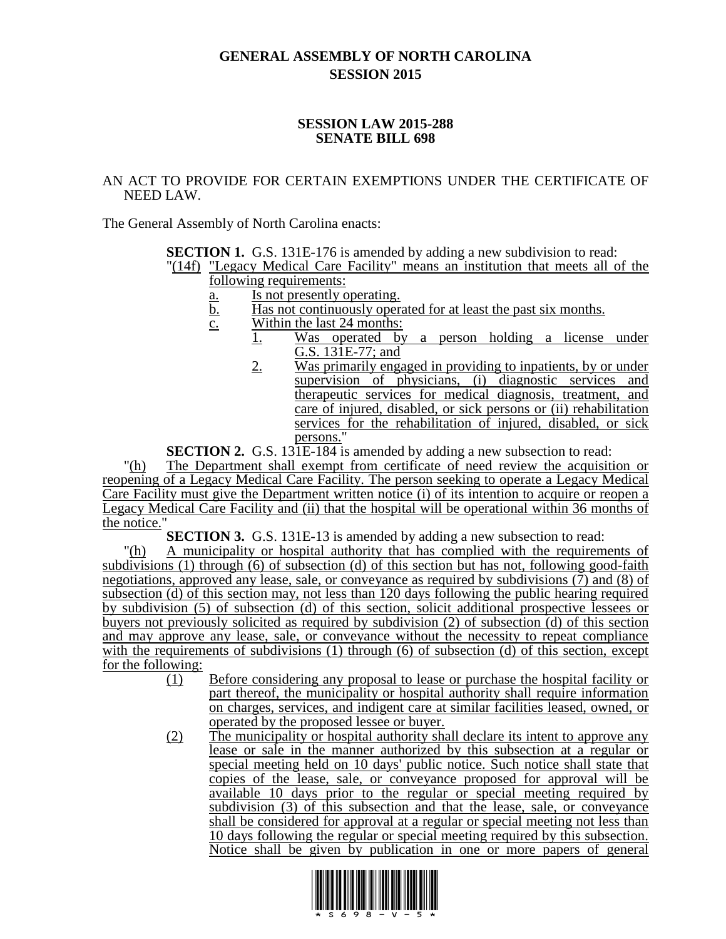## **GENERAL ASSEMBLY OF NORTH CAROLINA SESSION 2015**

## **SESSION LAW 2015-288 SENATE BILL 698**

## AN ACT TO PROVIDE FOR CERTAIN EXEMPTIONS UNDER THE CERTIFICATE OF NEED LAW.

The General Assembly of North Carolina enacts:

**SECTION 1.** G.S. 131E-176 is amended by adding a new subdivision to read:

"(14f) "Legacy Medical Care Facility" means an institution that meets all of the following requirements:

- a. Is not presently operating.
- b. Has not continuously operated for at least the past six months.
- c. Within the last 24 months:
	- 1. Was operated by a person holding a license under G.S. 131E-77; and
		- 2. Was primarily engaged in providing to inpatients, by or under supervision of physicians, (i) diagnostic services and therapeutic services for medical diagnosis, treatment, and care of injured, disabled, or sick persons or (ii) rehabilitation services for the rehabilitation of injured, disabled, or sick persons."

**SECTION 2.** G.S. 131E-184 is amended by adding a new subsection to read:

"(h) The Department shall exempt from certificate of need review the acquisition or reopening of a Legacy Medical Care Facility. The person seeking to operate a Legacy Medical Care Facility must give the Department written notice (i) of its intention to acquire or reopen a Legacy Medical Care Facility and (ii) that the hospital will be operational within 36 months of the notice."

**SECTION 3.** G.S. 131E-13 is amended by adding a new subsection to read:

"(h) A municipality or hospital authority that has complied with the requirements of subdivisions (1) through (6) of subsection (d) of this section but has not, following good-faith negotiations, approved any lease, sale, or conveyance as required by subdivisions (7) and (8) of subsection (d) of this section may, not less than 120 days following the public hearing required by subdivision (5) of subsection (d) of this section, solicit additional prospective lessees or buyers not previously solicited as required by subdivision (2) of subsection (d) of this section and may approve any lease, sale, or conveyance without the necessity to repeat compliance with the requirements of subdivisions (1) through (6) of subsection (d) of this section, except for the following:

- (1) Before considering any proposal to lease or purchase the hospital facility or part thereof, the municipality or hospital authority shall require information on charges, services, and indigent care at similar facilities leased, owned, or operated by the proposed lessee or buyer.
- (2) The municipality or hospital authority shall declare its intent to approve any lease or sale in the manner authorized by this subsection at a regular or special meeting held on 10 days' public notice. Such notice shall state that copies of the lease, sale, or conveyance proposed for approval will be available 10 days prior to the regular or special meeting required by subdivision (3) of this subsection and that the lease, sale, or conveyance shall be considered for approval at a regular or special meeting not less than 10 days following the regular or special meeting required by this subsection. Notice shall be given by publication in one or more papers of general